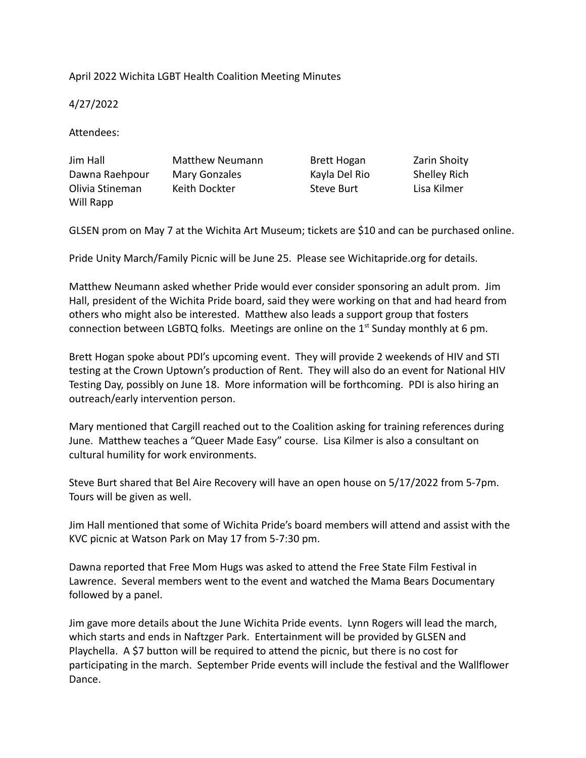## April 2022 Wichita LGBT Health Coalition Meeting Minutes

4/27/2022

Attendees:

| Jim Hall        | <b>Matthew Neumann</b> | Brett Hogan   | Zarin Shoity        |
|-----------------|------------------------|---------------|---------------------|
| Dawna Raehpour  | Mary Gonzales          | Kayla Del Rio | <b>Shelley Rich</b> |
| Olivia Stineman | Keith Dockter          | Steve Burt    | Lisa Kilmer         |
| Will Rapp       |                        |               |                     |

GLSEN prom on May 7 at the Wichita Art Museum; tickets are \$10 and can be purchased online.

Pride Unity March/Family Picnic will be June 25. Please see Wichitapride.org for details.

Matthew Neumann asked whether Pride would ever consider sponsoring an adult prom. Jim Hall, president of the Wichita Pride board, said they were working on that and had heard from others who might also be interested. Matthew also leads a support group that fosters connection between LGBTQ folks. Meetings are online on the  $1<sup>st</sup>$  Sunday monthly at 6 pm.

Brett Hogan spoke about PDI's upcoming event. They will provide 2 weekends of HIV and STI testing at the Crown Uptown's production of Rent. They will also do an event for National HIV Testing Day, possibly on June 18. More information will be forthcoming. PDI is also hiring an outreach/early intervention person.

Mary mentioned that Cargill reached out to the Coalition asking for training references during June. Matthew teaches a "Queer Made Easy" course. Lisa Kilmer is also a consultant on cultural humility for work environments.

Steve Burt shared that Bel Aire Recovery will have an open house on 5/17/2022 from 5-7pm. Tours will be given as well.

Jim Hall mentioned that some of Wichita Pride's board members will attend and assist with the KVC picnic at Watson Park on May 17 from 5-7:30 pm.

Dawna reported that Free Mom Hugs was asked to attend the Free State Film Festival in Lawrence. Several members went to the event and watched the Mama Bears Documentary followed by a panel.

Jim gave more details about the June Wichita Pride events. Lynn Rogers will lead the march, which starts and ends in Naftzger Park. Entertainment will be provided by GLSEN and Playchella. A \$7 button will be required to attend the picnic, but there is no cost for participating in the march. September Pride events will include the festival and the Wallflower Dance.